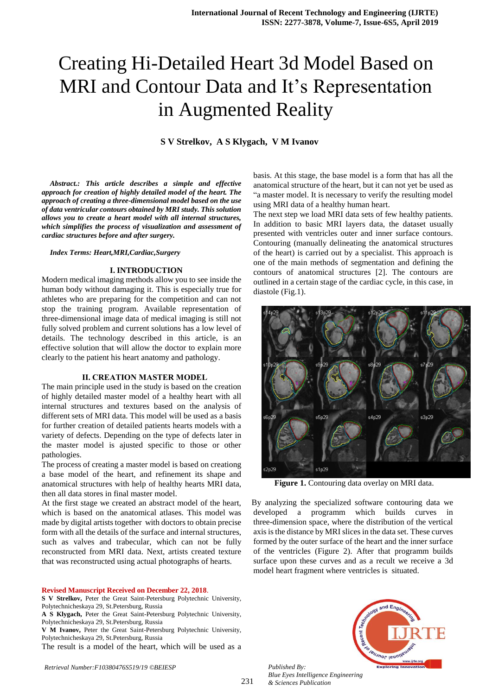# Creating Hi-Detailed Heart 3d Model Based on MRI and Contour Data and It's Representation in Augmented Reality

## **S V Strelkov, A S Klygach, V M Ivanov**

*Abstract.: This article describes a simple and effective approach for creation of highly detailed model of the heart. The approach of creating a three-dimensional model based on the use of data ventricular contours obtained by MRI study. This solution allows you to create a heart model with all internal structures, which simplifies the process of visualization and assessment of cardiac structures before and after surgery.*

### *Index Terms: Heart,MRI,Cardiac,Surgery*

#### **I. INTRODUCTION**

Modern medical imaging methods allow you to see inside the human body without damaging it. This is especially true for athletes who are preparing for the competition and can not stop the training program. Available representation of three-dimensional image data of medical imaging is still not fully solved problem and current solutions has a low level of details. The technology described in this article, is an effective solution that will allow the doctor to explain more clearly to the patient his heart anatomy and pathology.

#### **II. CREATION MASTER MODEL**

The main principle used in the study is based on the creation of highly detailed master model of a healthy heart with all internal structures and textures based on the analysis of different sets of MRI data. This model will be used as a basis for further creation of detailed patients hearts models with a variety of defects. Depending on the type of defects later in the master model is ajusted specific to those or other pathologies.

The process of creating a master model is based on creationg a base model of the heart, and refinement its shape and anatomical structures with help of healthy hearts MRI data, then all data stores in final master model.

At the first stage we created an abstract model of the heart, which is based on the anatomical atlases. This model was made by digital artists together with doctors to obtain precise form with all the details of the surface and internal structures, such as valves and trabecular, which can not be fully reconstructed from MRI data. Next, artists created texture that was reconstructed using actual photographs of hearts.

#### **Revised Manuscript Received on December 22, 2018**.

- **S V Strelkov,** Peter the Great Saint-Petersburg Polytechnic University, Polytechnicheskaya 29, St.Petersburg, Russia
- **A S Klygach,** Peter the Great Saint-Petersburg Polytechnic University, Polytechnicheskaya 29, St.Petersburg, Russia

**V M Ivanov,** Peter the Great Saint-Petersburg Polytechnic University, Polytechnicheskaya 29, St.Petersburg, Russia

The result is a model of the heart, which will be used as a

*Retrieval Number:F10380476S519/19 ©BEIESP Published By:*

basis. At this stage, the base model is a form that has all the anatomical structure of the heart, but it can not yet be used as "a master model. It is necessary to verify the resulting model using MRI data of a healthy human heart.

The next step we load MRI data sets of few healthy patients. In addition to basic MRI layers data, the dataset usually presented with ventricles outer and inner surface contours. Contouring (manually delineating the anatomical structures of the heart) is carried out by a specialist. This approach is one of the main methods of segmentation and defining the contours of anatomical structures [2]. The contours are outlined in a certain stage of the cardiac cycle, in this case, in diastole (Fig.1).



**Figure 1.** Contouring data overlay on MRI data.

 By analyzing the specialized software contouring data we developed a programm which builds curves in three-dimension space, where the distribution of the vertical axis is the distance by MRI slices in the data set. These curves formed by the outer surface of the heart and the inner surface of the ventricles (Figure 2). After that programm builds surface upon these curves and as a recult we receive a 3d model heart fragment where ventricles is situated.



*Blue Eyes Intelligence Engineering & Sciences Publication*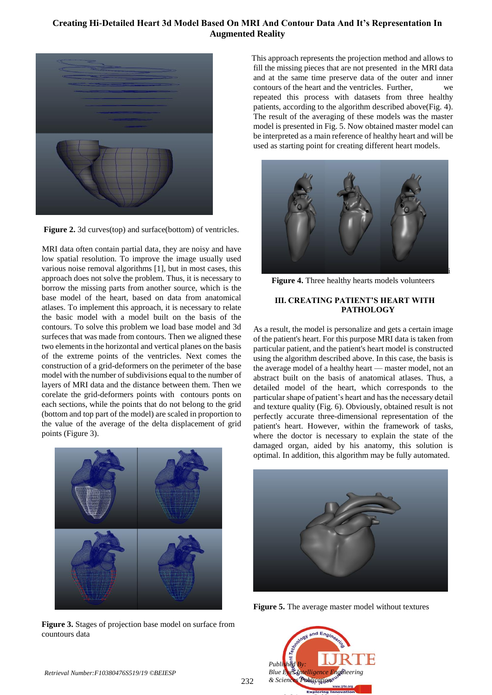# **Creating Hi-Detailed Heart 3d Model Based On MRI And Contour Data And It's Representation In Augmented Reality**



**Figure 2.** 3d curves(top) and surface(bottom) of ventricles.

 MRI data often contain partial data, they are noisy and have low spatial resolution. To improve the image usually used various noise removal algorithms [1], but in most cases, this approach does not solve the problem. Thus, it is necessary to borrow the missing parts from another source, which is the base model of the heart, based on data from anatomical atlases. To implement this approach, it is necessary to relate the basic model with a model built on the basis of the contours. To solve this problem we load base model and 3d surfeces that was made from contours. Then we aligned these two elements in the horizontal and vertical planes on the basis of the extreme points of the ventricles. Next comes the construction of a grid-deformers on the perimeter of the base model with the number of subdivisions equal to the number of layers of MRI data and the distance between them. Then we corelate the grid-deformers points with contours ponts on each sections, while the points that do not belong to the grid (bottom and top part of the model) are scaled in proportion to the value of the average of the delta displacement of grid points (Figure 3).



**Figure 3.** Stages of projection base model on surface from countours data

 This approach represents the projection method and allows to fill the missing pieces that are not presented in the MRI data and at the same time preserve data of the outer and inner contours of the heart and the ventricles. Further, repeated this process with datasets from three healthy patients, according to the algorithm described above(Fig. 4). The result of the averaging of these models was the master model is presented in Fig. 5. Now obtained master model can be interpreted as a main reference of healthy heart and will be used as starting point for creating different heart models.



**Figure 4.** Three healthy hearts models volunteers

## **III. CREATING PATIENT'S HEART WITH PATHOLOGY**

As a result, the model is personalize and gets a certain image of the patient's heart. For this purpose MRI data is taken from particular patient, and the patient's heart model is constructed using the algorithm described above. In this case, the basis is the average model of a healthy heart — master model, not an abstract built on the basis of anatomical atlases. Thus, a detailed model of the heart, which corresponds to the particular shape of patient's heart and has the necessary detail and texture quality (Fig. 6). Obviously, obtained result is not perfectly accurate three-dimensional representation of the patient's heart. However, within the framework of tasks, where the doctor is necessary to explain the state of the damaged organ, aided by his anatomy, this solution is optimal. In addition, this algorithm may be fully automated.



**Figure 5.** The average master model without textures